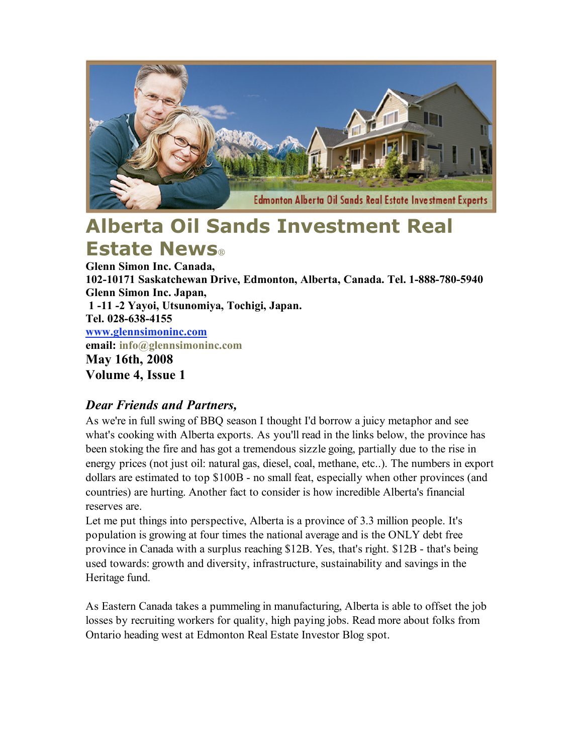

# **Alberta Oil Sands Investment Real Estate News**

**Glenn Simon Inc. Canada, 102-10171 Saskatchewan Drive, Edmonton, Alberta, Canada. Tel. 1-888-780-5940 Glenn Simon Inc. Japan, 1 -11 -2 Yayoi, Utsunomiya, Tochigi, Japan. Tel. 028-638-4155 www.glennsimoninc.com email: info@glennsimoninc.com May 16th, 2008 Volume 4, Issue 1**

# *Dear Friends and Partners,*

As we're in full swing of BBQ season I thought I'd borrow a juicy metaphor and see what's cooking with Alberta exports. As you'll read in the links below, the province has been stoking the fire and has got a tremendous sizzle going, partially due to the rise in energy prices (not just oil: natural gas, diesel, coal, methane, etc..). The numbers in export dollars are estimated to top \$100B - no small feat, especially when other provinces (and countries) are hurting. Another fact to consider is how incredible Alberta's financial reserves are.

Let me put things into perspective, Alberta is a province of 3.3 million people. It's population is growing at four times the national average and is the ONLY debt free province in Canada with a surplus reaching \$12B. Yes, that's right. \$12B - that's being used towards: growth and diversity, infrastructure, sustainability and savings in the Heritage fund.

As Eastern Canada takes a pummeling in manufacturing, Alberta is able to offset the job losses by recruiting workers for quality, high paying jobs. Read more about folks from Ontario heading west at Edmonton Real Estate Investor Blog spot.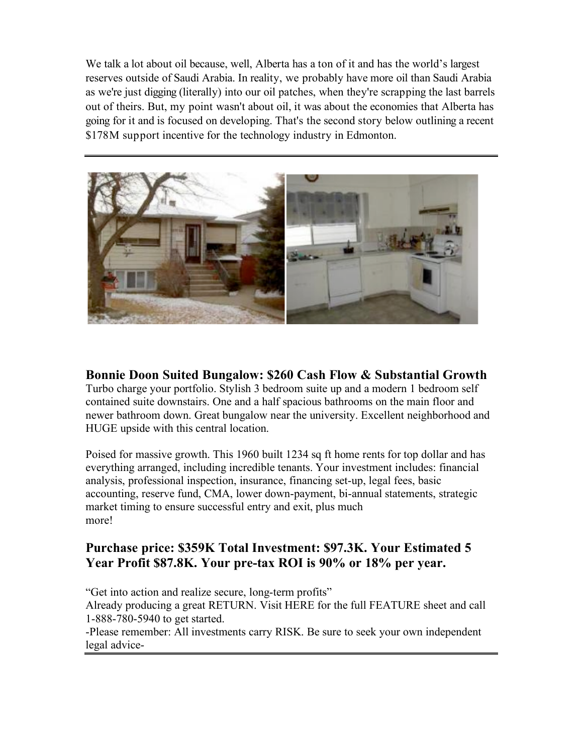We talk a lot about oil because, well, Alberta has a ton of it and has the world's largest reserves outside of Saudi Arabia. In reality, we probably have more oil than Saudi Arabia as we're just digging (literally) into our oil patches, when they're scrapping the last barrels out of theirs. But, my point wasn't about oil, it was about the economies that Alberta has going for it and is focused on developing. That's the second story below outlining a recent \$178M support incentive for the technology industry in Edmonton.



### **Bonnie Doon Suited Bungalow: \$260 Cash Flow & Substantial Growth**

Turbo charge your portfolio. Stylish 3 bedroom suite up and a modern 1 bedroom self contained suite downstairs. One and a half spacious bathrooms on the main floor and newer bathroom down. Great bungalow near the university. Excellent neighborhood and HUGE upside with this central location.

Poised for massive growth. This 1960 built 1234 sq ft home rents for top dollar and has everything arranged, including incredible tenants. Your investment includes: financial analysis, professional inspection, insurance, financing set-up, legal fees, basic accounting, reserve fund, CMA, lower down-payment, bi-annual statements, strategic market timing to ensure successful entry and exit, plus much more!

#### **Purchase price: \$359K Total Investment: \$97.3K. Your Estimated 5 Year Profit \$87.8K. Your pre-tax ROI is 90% or 18% per year.**

"Get into action and realize secure, long-term profits" Already producing a great RETURN. Visit HERE for the full FEATURE sheet and call 1-888-780-5940 to get started.

-Please remember: All investments carry RISK. Be sure to seek your own independent legal advice-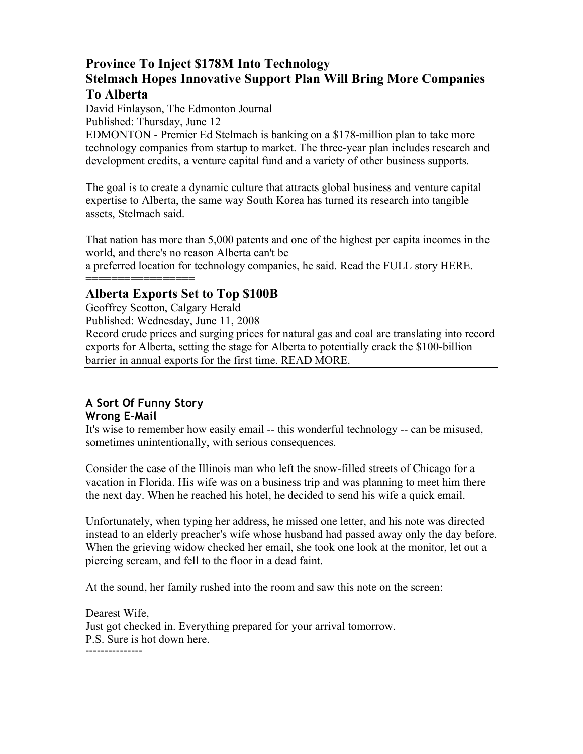## **Province To Inject \$178M Into Technology Stelmach Hopes Innovative Support Plan Will Bring More Companies To Alberta**

David Finlayson, The Edmonton Journal Published: Thursday, June 12

EDMONTON - Premier Ed Stelmach is banking on a \$178-million plan to take more technology companies from startup to market. The three-year plan includes research and development credits, a venture capital fund and a variety of other business supports.

The goal is to create a dynamic culture that attracts global business and venture capital expertise to Alberta, the same way South Korea has turned its research into tangible assets, Stelmach said.

That nation has more than 5,000 patents and one of the highest per capita incomes in the world, and there's no reason Alberta can't be

a preferred location for technology companies, he said. Read the FULL story HERE.

#### ================== **Alberta Exports Set to Top \$100B**

Geoffrey Scotton, Calgary Herald

Published: Wednesday, June 11, 2008

Record crude prices and surging prices for natural gas and coal are translating into record exports for Alberta, setting the stage for Alberta to potentially crack the \$100-billion barrier in annual exports for the first time. READ MORE.

#### **A Sort Of Funny Story Wrong E-Mail**

It's wise to remember how easily email -- this wonderful technology -- can be misused, sometimes unintentionally, with serious consequences.

Consider the case of the Illinois man who left the snow-filled streets of Chicago for a vacation in Florida. His wife was on a business trip and was planning to meet him there the next day. When he reached his hotel, he decided to send his wife a quick email.

Unfortunately, when typing her address, he missed one letter, and his note was directed instead to an elderly preacher's wife whose husband had passed away only the day before. When the grieving widow checked her email, she took one look at the monitor, let out a piercing scream, and fell to the floor in a dead faint.

At the sound, her family rushed into the room and saw this note on the screen:

Dearest Wife, Just got checked in. Everything prepared for your arrival tomorrow. P.S. Sure is hot down here. ===============